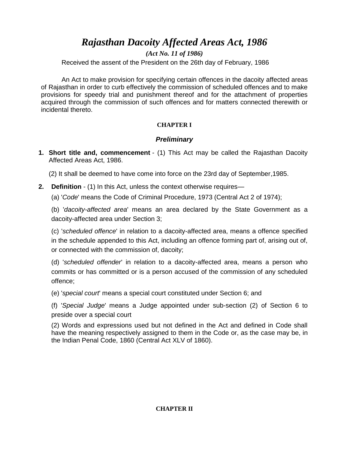*Rajasthan Dacoity Affected Areas Act, 1986*

*(Act No. 11 of 1986)*

Received the assent of the President on the 26th day of February, 1986

An Act to make provision for specifying certain offences in the dacoity affected areas of Rajasthan in order to curb effectively the commission of scheduled offences and to make provisions for speedy trial and punishment thereof and for the attachment of properties acquired through the commission of such offences and for matters connected therewith or incidental thereto.

## **CHAPTER I**

# *Preliminary*

**1. Short title and, commencement** - (1) This Act may be called the Rajasthan Dacoity Affected Areas Act, 1986.

(2) It shall be deemed to have come into force on the 23rd day of September,1985.

**2. Definition** - (1) In this Act, unless the context otherwise requires—

(a) '*Code*' means the Code of Criminal Procedure, 1973 (Central Act 2 of 1974);

(b) '*dacoity-affected area*' means an area declared by the State Government as a dacoity-affected area under Section 3;

(c) '*scheduled offence*' in relation to a dacoity-affected area, means a offence specified in the schedule appended to this Act, including an offence forming part of, arising out of, or connected with the commission of, dacoity;

(d) '*scheduled offender*' in relation to a dacoity-affected area, means a person who commits or has committed or is a person accused of the commission of any scheduled offence;

(e) '*special court*' means a special court constituted under Section 6; and

(f) '*Special Judge*' means a Judge appointed under sub-section (2) of Section 6 to preside over a special court

(2) Words and expressions used but not defined in the Act and defined in Code shall have the meaning respectively assigned to them in the Code or, as the case may be, in the Indian Penal Code, 1860 (Central Act XLV of 1860).

## **CHAPTER II**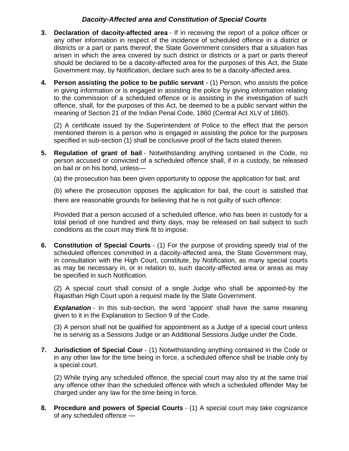## *Dacoity-Affected area and Constitution of Special Courts*

- **3. Declaration of dacoity-affected area** If in receiving the report of a police officer or any other information in respect of the incidence of scheduled offence in a district or districts or a part or parts thereof, the State Government considers that a situation has arisen in which the area covered by such district or districts or a part or parts thereof should be declared to be a dacoity-affected area for the purposes of this Act, the State Government may, by Notification, declare such area to be a dacoity-affected area.
- **4. Person assisting the police to be public servant** (1) Person, who assists the police in giving information or is engaged in assisting the police by giving information relating to the commission of a scheduled offence or is assisting in the investigation of such offence, shall, for the purposes of this Act, be deemed to be a public servant within the meaning of Section 21 of the Indian Penal Code, 1860 (Central Act XLV of 1860).

(2) A certificate issued by the Superintendent of Police to the effect that the person mentioned therein is a person who is engaged in assisting the police for the purposes specified in sub-section (1) shall be conclusive proof of the facts stated therein.

- **5. Regulation of grant of bail** Notwithstanding anything contained in the Code, no person accused or convicted of a scheduled offence shall, if in a custody, be released on bail or on his bond, unless—
	- (a) the prosecution has been given opportunity to oppose the application for bail; and

(b) where the prosecution opposes the application for bail, the court is satisfied that there are reasonable grounds for believing that he is not guilty of such offence:

Provided that a person accused of a scheduled offence, who has been in custody for a total period of one hundred and thirty days, may be released on bail subject to such conditions as the court may think fit to impose.

**6. Constitution of Special Courts** - (1) For the purpose of providing speedy trial of the scheduled offences committed in a dacoity-affected area, the State Government may, in consultation with the High Court, constitute, by Notification, as many special courts as may be necessary in, or in relation to, such dacoity-affected area or areas as may be specified in such Notification.

(2) A special court shall consist of a single Judge who shall be appointed-by the Rajasthan High Court upon a request made by the Slate Government.

**Explanation** - In this sub-section, the word 'appoint' shall have the same meaning given to it in the Explanation to Section 9 of the Code.

(3) A person shall not be qualified for appointment as a Judge of a special court unless he is serving as a Sessions Judge or an Additional Sessions Judge under the Code.

**7. Jurisdiction of Special Cour** - (1) Notwithstanding anything contained in the Code or in any other law for the time being in force, a scheduled offence shall be triable only by a special court.

(2) While trying any scheduled offence, the special court may also try at the same trial any offence other than the scheduled offence with which a scheduled offender May be charged under any law for the time being in force.

**8. Procedure and powers of Special Courts** - (1) A special court may take cognizance of any scheduled offence —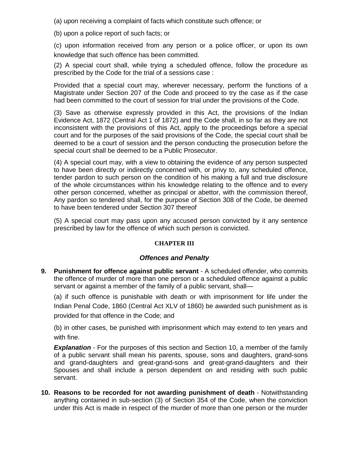(a) upon receiving a complaint of facts which constitute such offence; or

(b) upon a police report of such facts; or

(c) upon information received from any person or a police officer, or upon its own knowledge that such offence has been committed.

(2) A special court shall, while trying a scheduled offence, follow the procedure as prescribed by the Code for the trial of a sessions case :

Provided that a special court may, wherever necessary, perform the functions of a Magistrate under Section 207 of the Code and proceed to try the case as if the case had been committed to the court of session for trial under the provisions of the Code.

(3) Save as otherwise expressly provided in this Act, the provisions of the Indian Evidence Act, 1872 (Central Act 1 of 1872) and the Code shall, in so far as they are not inconsistent with the provisions of this Act, apply to the proceedings before a special court and for the purposes of the said provisions of the Code, the special court shall be deemed to be a court of session and the person conducting the prosecution before the special court shall be deemed to be a Public Prosecutor.

(4) A special court may, with a view to obtaining the evidence of any person suspected to have been directly or indirectly concerned with, or privy to, any scheduled offence, tender pardon to such person on the condition of his making a full and true disclosure of the whole circumstances within his knowledge relating to the offence and to every other person concerned, whether as principal or abettor, with the commission thereof, Any pardon so tendered shall, for the purpose of Section 308 of the Code, be deemed to have been tendered under Section 307 thereof

(5) A special court may pass upon any accused person convicted by it any sentence prescribed by law for the offence of which such person is convicted.

#### **CHAPTER III**

#### *Offences and Penalty*

**9. Punishment for offence against public servant** - A scheduled offender, who commits the offence of murder of more than one person or a scheduled offence against a public servant or against a member of the family of a public servant, shall—

(a) if such offence is punishable with death or with imprisonment for life under the Indian Penal Code, 1860 (Central Act XLV of 1860) be awarded such punishment as is provided for that offence in the Code; and

(b) in other cases, be punished with imprisonment which may extend to ten years and with fine.

**Explanation** - For the purposes of this section and Section 10, a member of the family of a public servant shall mean his parents, spouse, sons and daughters, grand-sons and grand-daughters and great-grand-sons and great-grand-daughters and their Spouses and shall include a person dependent on and residing with such public servant.

**10. Reasons to be recorded for not awarding punishment of death** - Notwithstanding anything contained in sub-section (3) of Section 354 of the Code, when the conviction under this Act is made in respect of the murder of more than one person or the murder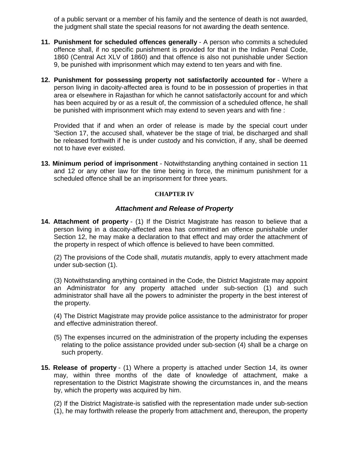of a public servant or a member of his family and the sentence of death is not awarded, the judgment shall state the special reasons for not awarding the death sentence.

- **11. Punishment for scheduled offences generally** A person who commits a scheduled offence shall, if no specific punishment is provided for that in the Indian Penal Code, 1860 (Central Act XLV of 1860) and that offence is also not punishable under Section 9, be punished with imprisonment which may extend to ten years and with fine.
- **12. Punishment for possessing property not satisfactorily accounted for** Where a person living in dacoity-affected area is found to be in possession of properties in that area or elsewhere in Rajasthan for which he cannot satisfactorily account for and which has been acquired by or as a result of, the commission of a scheduled offence, he shall be punished with imprisonment which may extend to seven years and with fine :

Provided that if and when an order of release is made by the special court under 'Section 17, the accused shall, whatever be the stage of trial, be discharged and shall be released forthwith if he is under custody and his conviction, if any, shall be deemed not to have ever existed.

**13. Minimum period of imprisonment** - Notwithstanding anything contained in section 11 and 12 or any other law for the time being in force, the minimum punishment for a scheduled offence shall be an imprisonment for three years.

#### **CHAPTER IV**

#### *Attachment and Release of Property*

**14. Attachment of property** - (1) If the District Magistrate has reason to believe that a person living in a dacoity-affected area has committed an offence punishable under Section 12, he may make a declaration to that effect and may order the attachment of the property in respect of which offence is believed to have been committed.

(2) The provisions of the Code shall, *mutatis mutandis*, apply to every attachment made under sub-section (1).

(3) Notwithstanding anything contained in the Code, the District Magistrate may appoint an Administrator for any property attached under sub-section (1) and such administrator shall have all the powers to administer the property in the best interest of the property.

(4) The District Magistrate may provide police assistance to the administrator for proper and effective administration thereof.

- (5) The expenses incurred on the administration of the property including the expenses relating to the police assistance provided under sub-section (4) shall be a charge on such property.
- **15. Release of property** (1) Where a property is attached under Section 14, its owner may, within three months of the date of knowledge of attachment, make a representation to the District Magistrate showing the circumstances in, and the means by, which the property was acquired by him.

(2) If the District Magistrate-is satisfied with the representation made under sub-section (1), he may forthwith release the properly from attachment and, thereupon, the property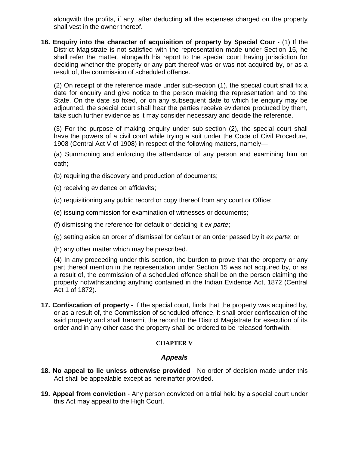alongwith the profits, if any, after deducting all the expenses charged on the property shall vest in the owner thereof.

**16. Enquiry into the character of acquisition of property by Special Cour** - (1) If the District Magistrate is not satisfied with the representation made under Section 15, he shall refer the matter, alongwith his report to the special court having jurisdiction for deciding whether the property or any part thereof was or was not acquired by, or as a result of, the commission of scheduled offence.

(2) On receipt of the reference made under sub-section (1), the special court shall fix a date for enquiry and give notice to the person making the representation and to the State. On the date so fixed, or on any subsequent date to which tie enquiry may be adjourned, the special court shall hear the parties receive evidence produced by them, take such further evidence as it may consider necessary and decide the reference.

(3) For the purpose of making enquiry under sub-section (2), the special court shall have the powers of a civil court while trying a suit under the Code of Civil Procedure, 1908 (Central Act V of 1908) in respect of the following matters, namely—

(a) Summoning and enforcing the attendance of any person and examining him on oath;

- (b) requiring the discovery and production of documents;
- (c) receiving evidence on affidavits;
- (d) requisitioning any public record or copy thereof from any court or Office;
- (e) issuing commission for examination of witnesses or documents;
- (f) dismissing the reference for default or deciding it *ex parte*;
- (g) setting aside an order of dismissal for default or an order passed by it *ex parte*; or
- (h) any other matter which may be prescribed.

(4) In any proceeding under this section, the burden to prove that the property or any part thereof mention in the representation under Section 15 was not acquired by, or as a result of, the commission of a scheduled offence shall be on the person claiming the property notwithstanding anything contained in the Indian Evidence Act, 1872 (Central Act 1 of 1872).

**17. Confiscation of property** - If the special court, finds that the property was acquired by, or as a result of, the Commission of scheduled offence, it shall order confiscation of the said property and shall transmit the record to the District Magistrate for execution of its order and in any other case the property shall be ordered to be released forthwith.

## **CHAPTER V**

## *Appeals*

- **18. No appeal to lie unless otherwise provided** No order of decision made under this Act shall be appealable except as hereinafter provided.
- **19. Appeal from conviction** Any person convicted on a trial held by a special court under this Act may appeal to the High Court.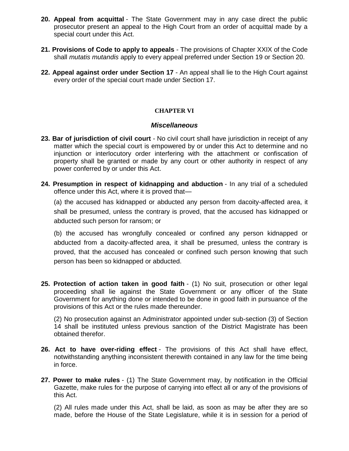- **20. Appeal from acquittal** The State Government may in any case direct the public prosecutor present an appeal to the High Court from an order of acquittal made by a special court under this Act.
- **21. Provisions of Code to apply to appeals** The provisions of Chapter XXIX of the Code shall *mutatis mutandis* apply to every appeal preferred under Section 19 or Section 20.
- **22. Appeal against order under Section 17** An appeal shall lie to the High Court against every order of the special court made under Section 17.

### **CHAPTER VI**

#### *Miscellaneous*

- **23. Bar of jurisdiction of civil court** No civil court shall have jurisdiction in receipt of any matter which the special court is empowered by or under this Act to determine and no injunction or interlocutory order interfering with the attachment or confiscation of property shall be granted or made by any court or other authority in respect of any power conferred by or under this Act.
- **24. Presumption in respect of kidnapping and abduction** In any trial of a scheduled offence under this Act, where it is proved that—

(a) the accused has kidnapped or abducted any person from dacoity-affected area, it shall be presumed, unless the contrary is proved, that the accused has kidnapped or abducted such person for ransom; or

(b) the accused has wrongfully concealed or confined any person kidnapped or abducted from a dacoity-affected area, it shall be presumed, unless the contrary is proved, that the accused has concealed or confined such person knowing that such person has been so kidnapped or abducted.

**25. Protection of action taken in good faith** - (1) No suit, prosecution or other legal proceeding shall lie against the State Government or any officer of the State Government for anything done or intended to be done in good faith in pursuance of the provisions of this Act or the rules made thereunder.

(2) No prosecution against an Administrator appointed under sub-section (3) of Section 14 shall be instituted unless previous sanction of the District Magistrate has been obtained therefor.

- **26. Act to have over-riding effect** The provisions of this Act shall have effect, notwithstanding anything inconsistent therewith contained in any law for the time being in force.
- **27. Power to make rules** (1) The State Government may, by notification in the Official Gazette, make rules for the purpose of carrying into effect all or any of the provisions of this Act.

(2) All rules made under this Act, shall be laid, as soon as may be after they are so made, before the House of the State Legislature, while it is in session for a period of